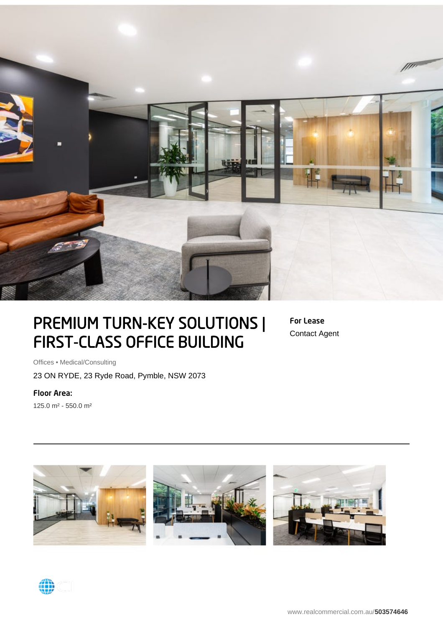

## PREMIUM TURN-KEY SOLUTIONS | FIRST-CLASS OFFICE BUILDING

For Lease Contact Agent

Offices • Medical/Consulting

23 ON RYDE, 23 Ryde Road, Pymble, NSW 2073

Floor Area:

125.0 m² - 550.0 m²